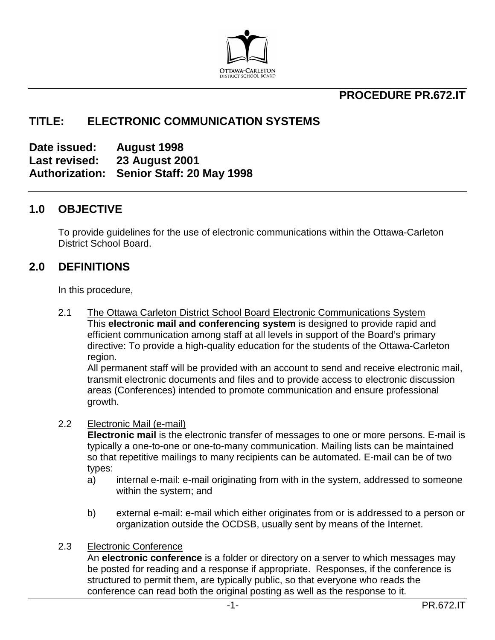

## **PROCEDURE PR.672.IT**

## **TITLE: ELECTRONIC COMMUNICATION SYSTEMS**

**Date issued: August 1998 Last revised: 23 August 2001 Authorization: Senior Staff: 20 May 1998**

#### **1.0 OBJECTIVE**

To provide guidelines for the use of electronic communications within the Ottawa-Carleton District School Board.

### **2.0 DEFINITIONS**

In this procedure,

2.1 The Ottawa Carleton District School Board Electronic Communications System This **electronic mail and conferencing system** is designed to provide rapid and efficient communication among staff at all levels in support of the Board's primary directive: To provide a high-quality education for the students of the Ottawa-Carleton region.

All permanent staff will be provided with an account to send and receive electronic mail, transmit electronic documents and files and to provide access to electronic discussion areas (Conferences) intended to promote communication and ensure professional growth.

#### 2.2 Electronic Mail (e-mail)

**Electronic mail** is the electronic transfer of messages to one or more persons. E-mail is typically a one-to-one or one-to-many communication. Mailing lists can be maintained so that repetitive mailings to many recipients can be automated. E-mail can be of two types:

- a) internal e-mail: e-mail originating from with in the system, addressed to someone within the system; and
- b) external e-mail: e-mail which either originates from or is addressed to a person or organization outside the OCDSB, usually sent by means of the Internet.

#### 2.3 Electronic Conference

An **electronic conference** is a folder or directory on a server to which messages may be posted for reading and a response if appropriate. Responses, if the conference is structured to permit them, are typically public, so that everyone who reads the conference can read both the original posting as well as the response to it.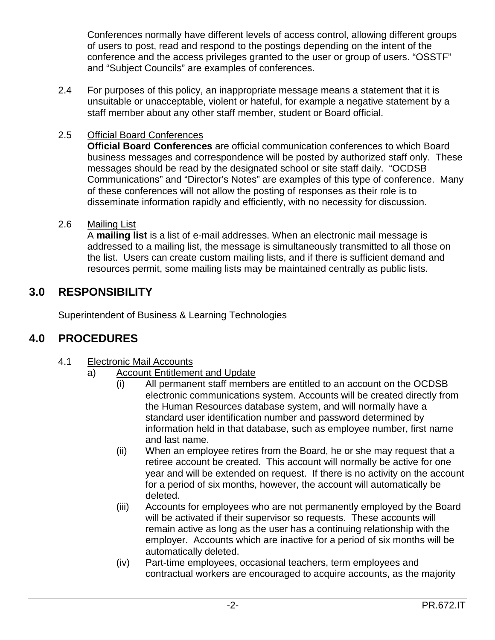Conferences normally have different levels of access control, allowing different groups of users to post, read and respond to the postings depending on the intent of the conference and the access privileges granted to the user or group of users. "OSSTF" and "Subject Councils" are examples of conferences.

2.4 For purposes of this policy, an inappropriate message means a statement that it is unsuitable or unacceptable, violent or hateful, for example a negative statement by a staff member about any other staff member, student or Board official.

### 2.5 Official Board Conferences

**Official Board Conferences** are official communication conferences to which Board business messages and correspondence will be posted by authorized staff only. These messages should be read by the designated school or site staff daily. "OCDSB Communications" and "Director's Notes" are examples of this type of conference. Many of these conferences will not allow the posting of responses as their role is to disseminate information rapidly and efficiently, with no necessity for discussion.

#### 2.6 Mailing List

A **mailing list** is a list of e-mail addresses. When an electronic mail message is addressed to a mailing list, the message is simultaneously transmitted to all those on the list. Users can create custom mailing lists, and if there is sufficient demand and resources permit, some mailing lists may be maintained centrally as public lists.

## **3.0 RESPONSIBILITY**

Superintendent of Business & Learning Technologies

# **4.0 PROCEDURES**

- 4.1 Electronic Mail Accounts
	- a) Account Entitlement and Update
		- (i) All permanent staff members are entitled to an account on the OCDSB electronic communications system. Accounts will be created directly from the Human Resources database system, and will normally have a standard user identification number and password determined by information held in that database, such as employee number, first name and last name.
		- (ii) When an employee retires from the Board, he or she may request that a retiree account be created. This account will normally be active for one year and will be extended on request. If there is no activity on the account for a period of six months, however, the account will automatically be deleted.
		- (iii) Accounts for employees who are not permanently employed by the Board will be activated if their supervisor so requests. These accounts will remain active as long as the user has a continuing relationship with the employer. Accounts which are inactive for a period of six months will be automatically deleted.
		- (iv) Part-time employees, occasional teachers, term employees and contractual workers are encouraged to acquire accounts, as the majority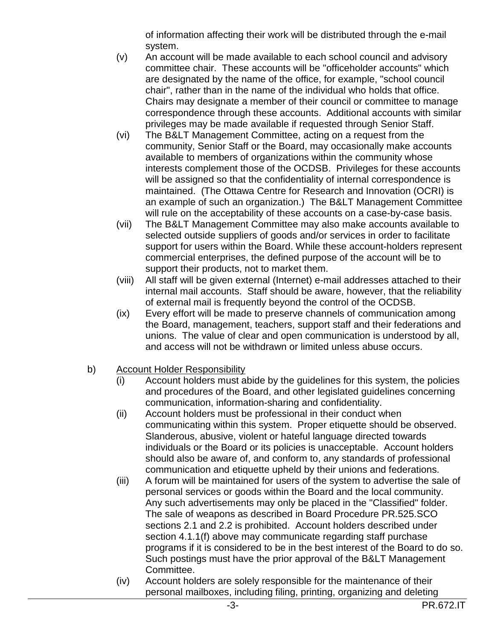of information affecting their work will be distributed through the e-mail system.

- (v) An account will be made available to each school council and advisory committee chair. These accounts will be "officeholder accounts" which are designated by the name of the office, for example, "school council chair", rather than in the name of the individual who holds that office. Chairs may designate a member of their council or committee to manage correspondence through these accounts. Additional accounts with similar privileges may be made available if requested through Senior Staff.
- $(vi)$  The B&LT Management Committee, acting on a request from the community, Senior Staff or the Board, may occasionally make accounts available to members of organizations within the community whose interests complement those of the OCDSB. Privileges for these accounts will be assigned so that the confidentiality of internal correspondence is maintained. (The Ottawa Centre for Research and Innovation (OCRI) is an example of such an organization.) The B&LT Management Committee will rule on the acceptability of these accounts on a case-by-case basis.
- (vii) The B&LT Management Committee may also make accounts available to selected outside suppliers of goods and/or services in order to facilitate support for users within the Board. While these account-holders represent commercial enterprises, the defined purpose of the account will be to support their products, not to market them.
- (viii) All staff will be given external (Internet) e-mail addresses attached to their internal mail accounts. Staff should be aware, however, that the reliability of external mail is frequently beyond the control of the OCDSB.
- (ix) Every effort will be made to preserve channels of communication among the Board, management, teachers, support staff and their federations and unions. The value of clear and open communication is understood by all, and access will not be withdrawn or limited unless abuse occurs.
- b) Account Holder Responsibility
	- (i) Account holders must abide by the guidelines for this system, the policies and procedures of the Board, and other legislated guidelines concerning communication, information-sharing and confidentiality.
	- (ii) Account holders must be professional in their conduct when communicating within this system. Proper etiquette should be observed. Slanderous, abusive, violent or hateful language directed towards individuals or the Board or its policies is unacceptable. Account holders should also be aware of, and conform to, any standards of professional communication and etiquette upheld by their unions and federations.
	- (iii) A forum will be maintained for users of the system to advertise the sale of personal services or goods within the Board and the local community. Any such advertisements may only be placed in the "Classified" folder. The sale of weapons as described in Board Procedure PR.525.SCO sections 2.1 and 2.2 is prohibited. Account holders described under section 4.1.1(f) above may communicate regarding staff purchase programs if it is considered to be in the best interest of the Board to do so. Such postings must have the prior approval of the B&LT Management Committee.
	- (iv) Account holders are solely responsible for the maintenance of their personal mailboxes, including filing, printing, organizing and deleting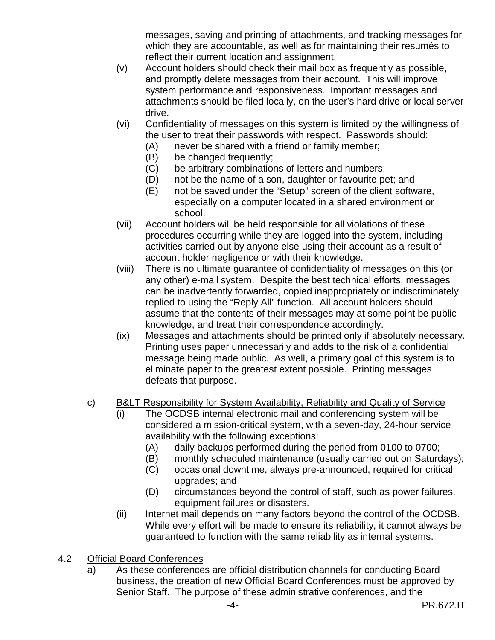messages, saving and printing of attachments, and tracking messages for which they are accountable, as well as for maintaining their resumés to reflect their current location and assignment.

- (v) Account holders should check their mail box as frequently as possible, and promptly delete messages from their account. This will improve system performance and responsiveness. Important messages and attachments should be filed locally, on the user's hard drive or local server drive.
- (vi) Confidentiality of messages on this system is limited by the willingness of the user to treat their passwords with respect. Passwords should:
	- (A) never be shared with a friend or family member;
	- (B) be changed frequently;
	- (C) be arbitrary combinations of letters and numbers;
	- (D) not be the name of a son, daughter or favourite pet; and
	- (E) not be saved under the "Setup" screen of the client software, especially on a computer located in a shared environment or school.
- (vii) Account holders will be held responsible for all violations of these procedures occurring while they are logged into the system, including activities carried out by anyone else using their account as a result of account holder negligence or with their knowledge.
- (viii) There is no ultimate guarantee of confidentiality of messages on this (or any other) e-mail system. Despite the best technical efforts, messages can be inadvertently forwarded, copied inappropriately or indiscriminately replied to using the "Reply All" function. All account holders should assume that the contents of their messages may at some point be public knowledge, and treat their correspondence accordingly.
- (ix) Messages and attachments should be printed only if absolutely necessary. Printing uses paper unnecessarily and adds to the risk of a confidential message being made public. As well, a primary goal of this system is to eliminate paper to the greatest extent possible. Printing messages defeats that purpose.
- c) B&LT Responsibility for System Availability, Reliability and Quality of Service
	- (i) The OCDSB internal electronic mail and conferencing system will be considered a mission-critical system, with a seven-day, 24-hour service availability with the following exceptions:
		- (A) daily backups performed during the period from 0100 to 0700;
		- (B) monthly scheduled maintenance (usually carried out on Saturdays);
		- (C) occasional downtime, always pre-announced, required for critical upgrades; and
		- (D) circumstances beyond the control of staff, such as power failures, equipment failures or disasters.
	- (ii) Internet mail depends on many factors beyond the control of the OCDSB. While every effort will be made to ensure its reliability, it cannot always be guaranteed to function with the same reliability as internal systems.
- 4.2 Official Board Conferences
	- a) As these conferences are official distribution channels for conducting Board business, the creation of new Official Board Conferences must be approved by Senior Staff. The purpose of these administrative conferences, and the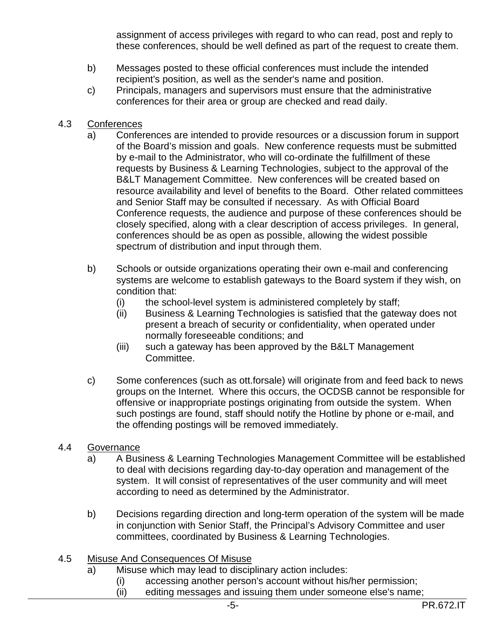assignment of access privileges with regard to who can read, post and reply to these conferences, should be well defined as part of the request to create them.

- b) Messages posted to these official conferences must include the intended recipient's position, as well as the sender's name and position.
- c) Principals, managers and supervisors must ensure that the administrative conferences for their area or group are checked and read daily.
- 4.3 Conferences
	- a) Conferences are intended to provide resources or a discussion forum in support of the Board's mission and goals. New conference requests must be submitted by e-mail to the Administrator, who will co-ordinate the fulfillment of these requests by Business & Learning Technologies, subject to the approval of the B&LT Management Committee. New conferences will be created based on resource availability and level of benefits to the Board. Other related committees and Senior Staff may be consulted if necessary. As with Official Board Conference requests, the audience and purpose of these conferences should be closely specified, along with a clear description of access privileges. In general, conferences should be as open as possible, allowing the widest possible spectrum of distribution and input through them.
	- b) Schools or outside organizations operating their own e-mail and conferencing systems are welcome to establish gateways to the Board system if they wish, on condition that:
		- (i) the school-level system is administered completely by staff;
		- (ii) Business & Learning Technologies is satisfied that the gateway does not present a breach of security or confidentiality, when operated under normally foreseeable conditions; and
		- (iii) such a gateway has been approved by the B&LT Management Committee.
	- c) Some conferences (such as ott.forsale) will originate from and feed back to news groups on the Internet. Where this occurs, the OCDSB cannot be responsible for offensive or inappropriate postings originating from outside the system. When such postings are found, staff should notify the Hotline by phone or e-mail, and the offending postings will be removed immediately.
- 4.4 Governance
	- a) A Business & Learning Technologies Management Committee will be established to deal with decisions regarding day-to-day operation and management of the system. It will consist of representatives of the user community and will meet according to need as determined by the Administrator.
	- b) Decisions regarding direction and long-term operation of the system will be made in conjunction with Senior Staff, the Principal's Advisory Committee and user committees, coordinated by Business & Learning Technologies.
- 4.5 Misuse And Consequences Of Misuse
	- a) Misuse which may lead to disciplinary action includes:
		- (i) accessing another person's account without his/her permission;
		- (ii) editing messages and issuing them under someone else's name;